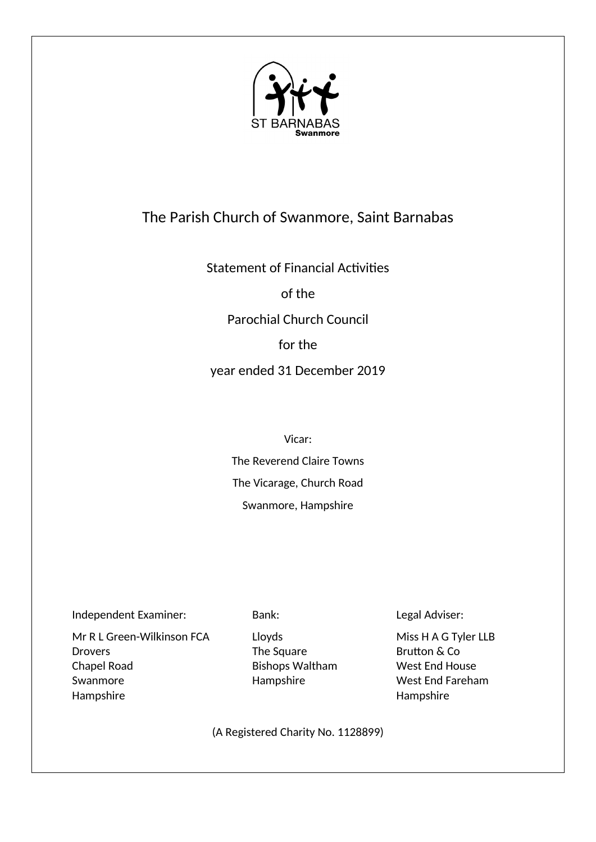

# The Parish Church of Swanmore, Saint Barnabas

Statement of Financial Activities

of the

Parochial Church Council

for the

year ended 31 December 2019

Vicar:

The Reverend Claire Towns The Vicarage, Church Road Swanmore, Hampshire

Independent Examiner: Bank: Legal Adviser:

Mr R L Green-Wilkinson FCA Lloyds Miss H A G Tyler LLB Drovers The Square The Square Brutton & Co Chapel Road **Bishops Waltham** West End House Swanmore **End Fareham** Hampshire West End Fareham Hampshire Hampshire

(A Registered Charity No. 1128899)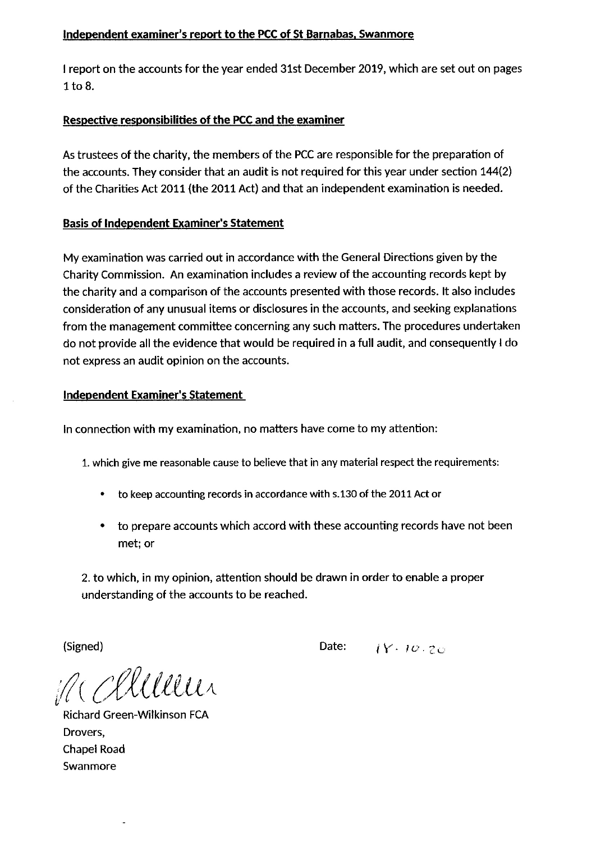# Independent examiner's report to the PCC of St Barnabas, Swanmore

I report on the accounts for the year ended 31st December 2019, which are set out on pages  $1$  to  $8$ .

# Respective responsibilities of the PCC and the examiner

As trustees of the charity, the members of the PCC are responsible for the preparation of the accounts. They consider that an audit is not required for this year under section 144(2) of the Charities Act 2011 (the 2011 Act) and that an independent examination is needed.

# **Basis of Independent Examiner's Statement**

My examination was carried out in accordance with the General Directions given by the Charity Commission. An examination includes a review of the accounting records kept by the charity and a comparison of the accounts presented with those records. It also includes consideration of any unusual items or disclosures in the accounts, and seeking explanations from the management committee concerning any such matters. The procedures undertaken do not provide all the evidence that would be required in a full audit, and consequently I do not express an audit opinion on the accounts.

# **Independent Examiner's Statement**

In connection with my examination, no matters have come to my attention:

- 1. which give me reasonable cause to believe that in any material respect the requirements:
	- to keep accounting records in accordance with s.130 of the 2011 Act or
	- to prepare accounts which accord with these accounting records have not been met; or

2. to which, in my opinion, attention should be drawn in order to enable a proper understanding of the accounts to be reached.

(Signed)

Date:  $11.10.70$ 

M Chilleur

**Richard Green-Wilkinson FCA** Drovers, **Chapel Road** Swanmore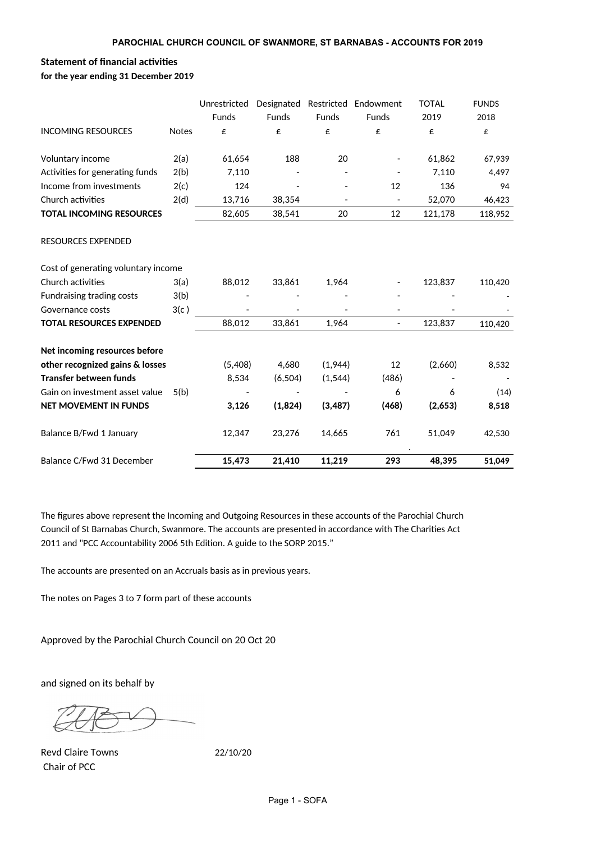# **Statement of financial activities**

**for the year ending 31 December 2019**

|                                     |              | Unrestricted | Designated   | Restricted               | Endowment                | <b>TOTAL</b> | <b>FUNDS</b> |
|-------------------------------------|--------------|--------------|--------------|--------------------------|--------------------------|--------------|--------------|
|                                     |              | <b>Funds</b> | <b>Funds</b> | <b>Funds</b>             | <b>Funds</b>             | 2019         | 2018         |
| <b>INCOMING RESOURCES</b>           | <b>Notes</b> | £            | £            | £                        | £                        | £            | £            |
| Voluntary income                    | 2(a)         | 61,654       | 188          | 20                       |                          | 61,862       | 67,939       |
| Activities for generating funds     | 2(b)         | 7,110        |              |                          |                          | 7,110        | 4,497        |
| Income from investments             | 2(c)         | 124          |              |                          | 12                       | 136          | 94           |
| Church activities                   | 2(d)         | 13,716       | 38,354       | $\overline{\phantom{a}}$ | $\overline{\phantom{a}}$ | 52,070       | 46,423       |
| <b>TOTAL INCOMING RESOURCES</b>     |              | 82,605       | 38,541       | 20                       | 12                       | 121,178      | 118,952      |
| RESOURCES EXPENDED                  |              |              |              |                          |                          |              |              |
| Cost of generating voluntary income |              |              |              |                          |                          |              |              |
| Church activities                   | 3(a)         | 88,012       | 33,861       | 1,964                    |                          | 123,837      | 110,420      |
| <b>Fundraising trading costs</b>    | 3(b)         |              |              |                          |                          |              |              |
| Governance costs                    | 3(c)         |              |              |                          |                          |              |              |
| <b>TOTAL RESOURCES EXPENDED</b>     |              | 88,012       | 33,861       | 1,964                    | $\overline{\phantom{a}}$ | 123,837      | 110,420      |
| Net incoming resources before       |              |              |              |                          |                          |              |              |
| other recognized gains & losses     |              | (5,408)      | 4,680        | (1,944)                  | 12                       | (2,660)      | 8,532        |
| <b>Transfer between funds</b>       |              | 8,534        | (6, 504)     | (1, 544)                 | (486)                    |              |              |
| Gain on investment asset value      | 5(b)         |              |              |                          | 6                        | 6            | (14)         |
| NET MOVEMENT IN FUNDS               |              | 3,126        | (1,824)      | (3, 487)                 | (468)                    | (2,653)      | 8,518        |
| Balance B/Fwd 1 January             |              | 12,347       | 23,276       | 14,665                   | 761                      | 51,049       | 42,530       |
| Balance C/Fwd 31 December           |              | 15,473       | 21,410       | 11,219                   | 293                      | 48,395       | 51,049       |

The figures above represent the Incoming and Outgoing Resources in these accounts of the Parochial Church Council of St Barnabas Church, Swanmore. The accounts are presented in accordance with The Charities Act 2011 and "PCC Accountability 2006 5th Edition. A guide to the SORP 2015."

The accounts are presented on an Accruals basis as in previous years.

The notes on Pages 3 to 7 form part of these accounts

Approved by the Parochial Church Council on 20 Oct 20

and signed on its behalf by

Revd Claire Towns 22/10/20 Chair of PCC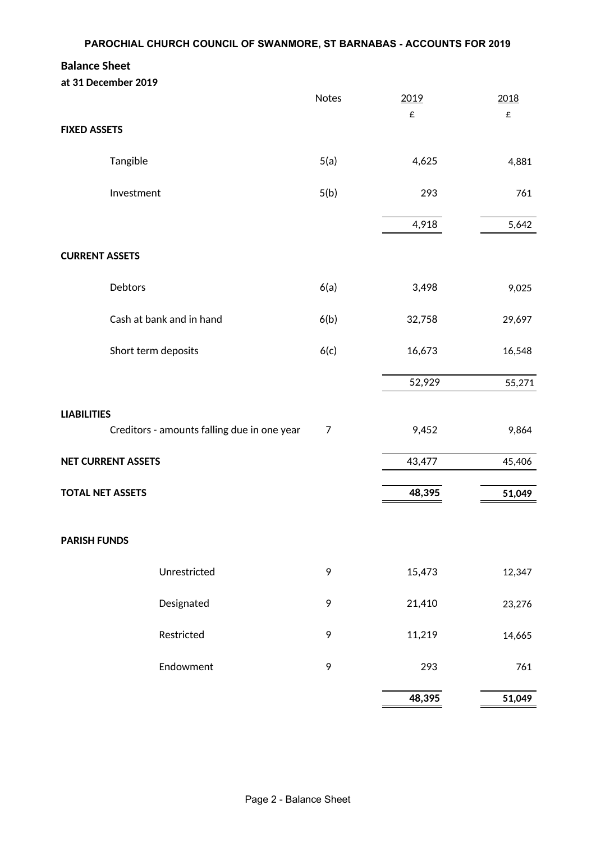# **Balance Sheet**

|                         | at 31 December 2019                         |       |        |        |
|-------------------------|---------------------------------------------|-------|--------|--------|
|                         |                                             | Notes | 2019   | 2018   |
| <b>FIXED ASSETS</b>     |                                             |       | £      | £      |
|                         | Tangible                                    | 5(a)  | 4,625  | 4,881  |
|                         | Investment                                  | 5(b)  | 293    | 761    |
|                         |                                             |       | 4,918  | 5,642  |
| <b>CURRENT ASSETS</b>   |                                             |       |        |        |
|                         | Debtors                                     | 6(a)  | 3,498  | 9,025  |
|                         | Cash at bank and in hand                    | 6(b)  | 32,758 | 29,697 |
|                         | Short term deposits                         | 6(c)  | 16,673 | 16,548 |
|                         |                                             |       | 52,929 | 55,271 |
| <b>LIABILITIES</b>      |                                             |       |        |        |
|                         | Creditors - amounts falling due in one year | 7     | 9,452  | 9,864  |
|                         | <b>NET CURRENT ASSETS</b>                   |       | 43,477 | 45,406 |
| <b>TOTAL NET ASSETS</b> |                                             |       | 48,395 | 51,049 |
| <b>PARISH FUNDS</b>     |                                             |       |        |        |
|                         |                                             |       |        |        |
|                         | Unrestricted                                | 9     | 15,473 | 12,347 |
|                         | Designated                                  | 9     | 21,410 | 23,276 |
|                         | Restricted                                  | 9     | 11,219 | 14,665 |
|                         | Endowment                                   | 9     | 293    | 761    |
|                         |                                             |       | 48,395 | 51,049 |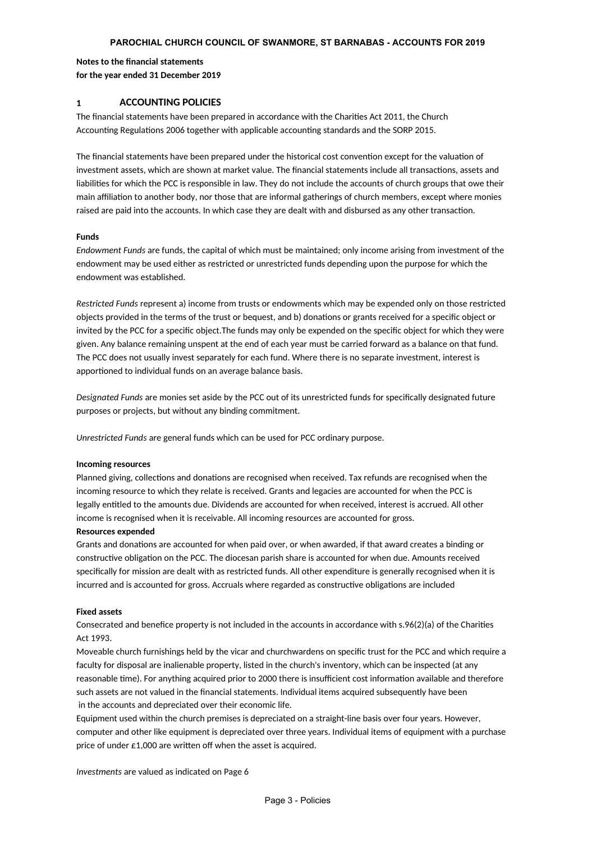#### **PAROCHIAL CHURCH COUNCIL OF SWANMORE, ST BARNABAS - ACCOUNTS FOR 2019**

#### **Notes to the financial statements for the year ended 31 December 2019**

#### **1 ACCOUNTING POLICIES**

The financial statements have been prepared in accordance with the Charities Act 2011, the Church Accounting Regulations 2006 together with applicable accounting standards and the SORP 2015.

The financial statements have been prepared under the historical cost convention except for the valuation of investment assets, which are shown at market value. The financial statements include all transactions, assets and liabilities for which the PCC is responsible in law. They do not include the accounts of church groups that owe their main affiliation to another body, nor those that are informal gatherings of church members, except where monies raised are paid into the accounts. In which case they are dealt with and disbursed as any other transaction.

#### **Funds**

endowment may be used either as restricted or unrestricted funds depending upon the purpose for which the endowment was established. *Endowment Funds* are funds, the capital of which must be maintained; only income arising from investment of the

objects provided in the terms of the trust or bequest, and b) donations or grants received for a specific object or invited by the PCC for a specific object. The funds may only be expended on the specific object for which they were given. Any balance remaining unspent at the end of each year must be carried forward as a balance on that fund. The PCC does not usually invest separately for each fund. Where there is no separate investment, interest is apportioned to individual funds on an average balance basis. *Restricted Funds* represent a) income from trusts or endowments which may be expended only on those restricted

purposes or projects, but without any binding commitment. *Designated Funds* are monies set aside by the PCC out of its unrestricted funds for specifically designated future

*Unrestricted Funds* are general funds which can be used for PCC ordinary purpose.

#### **Incoming resources**

Planned giving, collections and donations are recognised when received. Tax refunds are recognised when the incoming resource to which they relate is received. Grants and legacies are accounted for when the PCC is legally entitled to the amounts due. Dividends are accounted for when received, interest is accrued. All other income is recognised when it is receivable. All incoming resources are accounted for gross.

#### **Resources expended**

Grants and donations are accounted for when paid over, or when awarded, if that award creates a binding or constructive obligation on the PCC. The diocesan parish share is accounted for when due. Amounts received specifically for mission are dealt with as restricted funds. All other expenditure is generally recognised when it is incurred and is accounted for gross. Accruals where regarded as constructive obligations are included

#### **Fixed assets**

Consecrated and benefice property is not included in the accounts in accordance with  $s.96(2)(a)$  of the Charities Act 1993.

Moveable church furnishings held by the vicar and churchwardens on specific trust for the PCC and which require a faculty for disposal are inalienable property, listed in the church's inventory, which can be inspected (at any reasonable time). For anything acquired prior to 2000 there is insufficient cost information available and therefore such assets are not valued in the financial statements. Individual items acquired subsequently have been in the accounts and depreciated over their economic life.

Equipment used within the church premises is depreciated on a straight-line basis over four years. However, computer and other like equipment is depreciated over three years. Individual items of equipment with a purchase price of under  $£1,000$  are written off when the asset is acquired.

*Investments* are valued as indicated on Page 6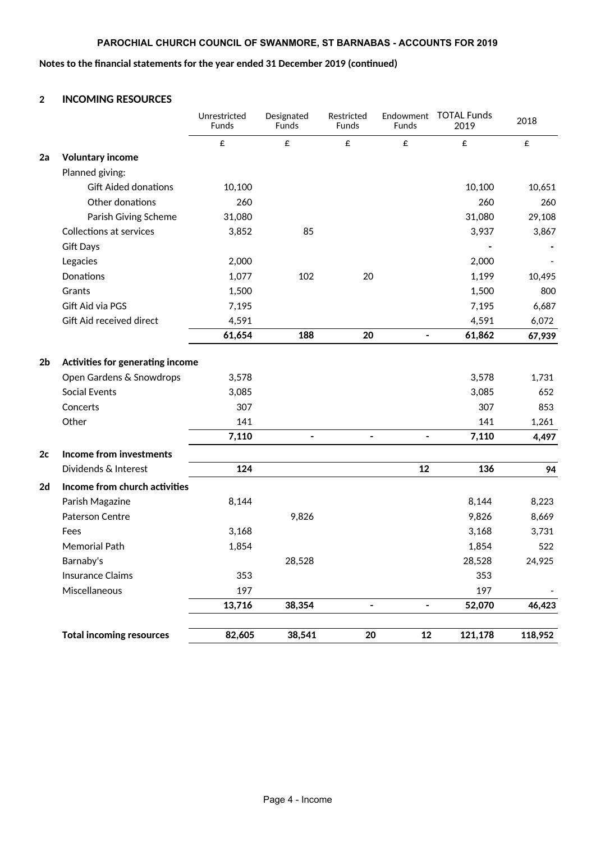# **PAROCHIAL CHURCH COUNCIL OF SWANMORE, ST BARNABAS - ACCOUNTS FOR 2019**

# Notes to the financial statements for the year ended 31 December 2019 (continued)

## **2 INCOMING RESOURCES**

|                |                                  | Unrestricted<br><b>Funds</b> | Designated<br>Funds | Restricted<br><b>Funds</b>   | Endowment<br>Funds       | <b>TOTAL Funds</b><br>2019 | 2018    |
|----------------|----------------------------------|------------------------------|---------------------|------------------------------|--------------------------|----------------------------|---------|
|                |                                  | £                            | £                   | £                            | £                        | £                          | £       |
| 2a             | <b>Voluntary income</b>          |                              |                     |                              |                          |                            |         |
|                | Planned giving:                  |                              |                     |                              |                          |                            |         |
|                | <b>Gift Aided donations</b>      | 10,100                       |                     |                              |                          | 10,100                     | 10,651  |
|                | Other donations                  | 260                          |                     |                              |                          | 260                        | 260     |
|                | Parish Giving Scheme             | 31,080                       |                     |                              |                          | 31,080                     | 29,108  |
|                | <b>Collections at services</b>   | 3,852                        | 85                  |                              |                          | 3,937                      | 3,867   |
|                | <b>Gift Days</b>                 |                              |                     |                              |                          |                            |         |
|                | Legacies                         | 2,000                        |                     |                              |                          | 2,000                      |         |
|                | Donations                        | 1,077                        | 102                 | 20                           |                          | 1,199                      | 10,495  |
|                | Grants                           | 1,500                        |                     |                              |                          | 1,500                      | 800     |
|                | Gift Aid via PGS                 | 7,195                        |                     |                              |                          | 7,195                      | 6,687   |
|                | Gift Aid received direct         | 4,591                        |                     |                              |                          | 4,591                      | 6,072   |
|                |                                  | 61,654                       | 188                 | 20                           | $\overline{\phantom{0}}$ | 61,862                     | 67,939  |
| 2 <sub>b</sub> | Activities for generating income |                              |                     |                              |                          |                            |         |
|                | Open Gardens & Snowdrops         | 3,578                        |                     |                              |                          | 3,578                      | 1,731   |
|                | <b>Social Events</b>             | 3,085                        |                     |                              |                          | 3,085                      | 652     |
|                | Concerts                         | 307                          |                     |                              |                          | 307                        | 853     |
|                | Other                            | 141                          |                     |                              |                          | 141                        | 1,261   |
|                |                                  | 7,110                        | $\blacksquare$      | $\qquad \qquad \blacksquare$ | $\blacksquare$           | 7,110                      | 4,497   |
| 2c             | Income from investments          |                              |                     |                              |                          |                            |         |
|                | Dividends & Interest             | 124                          |                     |                              | 12                       | 136                        | 94      |
| 2d             | Income from church activities    |                              |                     |                              |                          |                            |         |
|                | Parish Magazine                  | 8,144                        |                     |                              |                          | 8,144                      | 8,223   |
|                | Paterson Centre                  |                              | 9,826               |                              |                          | 9,826                      | 8,669   |
|                | Fees                             | 3,168                        |                     |                              |                          | 3,168                      | 3,731   |
|                | <b>Memorial Path</b>             | 1,854                        |                     |                              |                          | 1,854                      | 522     |
|                | Barnaby's                        |                              | 28,528              |                              |                          | 28,528                     | 24,925  |
|                | <b>Insurance Claims</b>          | 353                          |                     |                              |                          | 353                        |         |
|                | Miscellaneous                    | 197                          |                     |                              |                          | 197                        |         |
|                |                                  | 13,716                       | 38,354              | $\qquad \qquad \blacksquare$ | $\blacksquare$           | 52,070                     | 46,423  |
|                | <b>Total incoming resources</b>  | 82,605                       | 38,541              | 20                           | 12                       | 121,178                    | 118,952 |
|                |                                  |                              |                     |                              |                          |                            |         |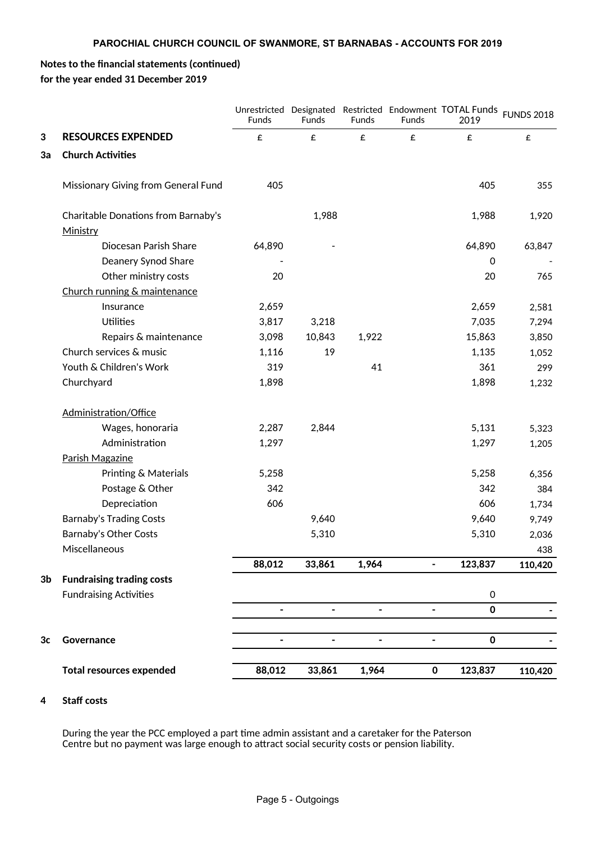2019

# Notes to the financial statements (continued) **for the year ended 31 December 2019**

FUNDS 2018 Unrestricted Designated Restricted Endowment TOTAL Funds **3 RESOURCES EXPENDED** £ £ £ £ £ £ **3a Church Activities** Missionary Giving from General Fund 405 405 405 405 405 405 Ministry Funds Funds Funds Funds

| <b>Total resources expended</b>     | 88,012                   | 33,861                   | 1,964          | $\pmb{0}$                    | 123,837     | 110,420 |
|-------------------------------------|--------------------------|--------------------------|----------------|------------------------------|-------------|---------|
| Governance                          |                          |                          |                |                              | $\mathbf 0$ |         |
|                                     | $\overline{\phantom{a}}$ | $\overline{\phantom{a}}$ | $\blacksquare$ | $\qquad \qquad \blacksquare$ | $\mathbf 0$ |         |
| <b>Fundraising Activities</b>       |                          |                          |                |                              | $\pmb{0}$   |         |
| <b>Fundraising trading costs</b>    |                          |                          |                |                              |             |         |
|                                     | 88,012                   | 33,861                   | 1,964          | $\overline{\phantom{a}}$     | 123,837     | 110,420 |
| Miscellaneous                       |                          |                          |                |                              |             | 438     |
| <b>Barnaby's Other Costs</b>        |                          | 5,310                    |                |                              | 5,310       | 2,036   |
| <b>Barnaby's Trading Costs</b>      |                          | 9,640                    |                |                              | 9,640       | 9,749   |
| Depreciation                        | 606                      |                          |                |                              | 606         | 1,734   |
| Postage & Other                     | 342                      |                          |                |                              | 342         | 384     |
| Printing & Materials                | 5,258                    |                          |                |                              | 5,258       | 6,356   |
| Parish Magazine                     |                          |                          |                |                              |             |         |
| Administration                      | 1,297                    |                          |                |                              | 1,297       | 1,205   |
| Wages, honoraria                    | 2,287                    | 2,844                    |                |                              | 5,131       | 5,323   |
| Administration/Office               |                          |                          |                |                              |             |         |
| Churchyard                          | 1,898                    |                          |                |                              | 1,898       | 1,232   |
| Youth & Children's Work             | 319                      |                          | 41             |                              | 361         | 299     |
| Church services & music             | 1,116                    | 19                       |                |                              | 1,135       | 1,052   |
| Repairs & maintenance               | 3,098                    | 10,843                   | 1,922          |                              | 15,863      | 3,850   |
| <b>Utilities</b>                    | 3,817                    | 3,218                    |                |                              | 7,035       | 7,294   |
| Insurance                           | 2,659                    |                          |                |                              | 2,659       | 2,581   |
| Church running & maintenance        |                          |                          |                |                              |             |         |
| Other ministry costs                | 20                       |                          |                |                              | 20          | 765     |
| Deanery Synod Share                 |                          |                          |                |                              | $\mathbf 0$ |         |
| Diocesan Parish Share               | 64,890                   |                          |                |                              | 64,890      | 63,847  |
| Ministry                            |                          |                          |                |                              |             |         |
| Charitable Donations from Barnaby's |                          | 1,988                    |                |                              | 1,988       | 1,920   |

## **4** Staff costs

During the year the PCC employed a part time admin assistant and a caretaker for the Paterson Centre but no payment was large enough to attract social security costs or pension liability.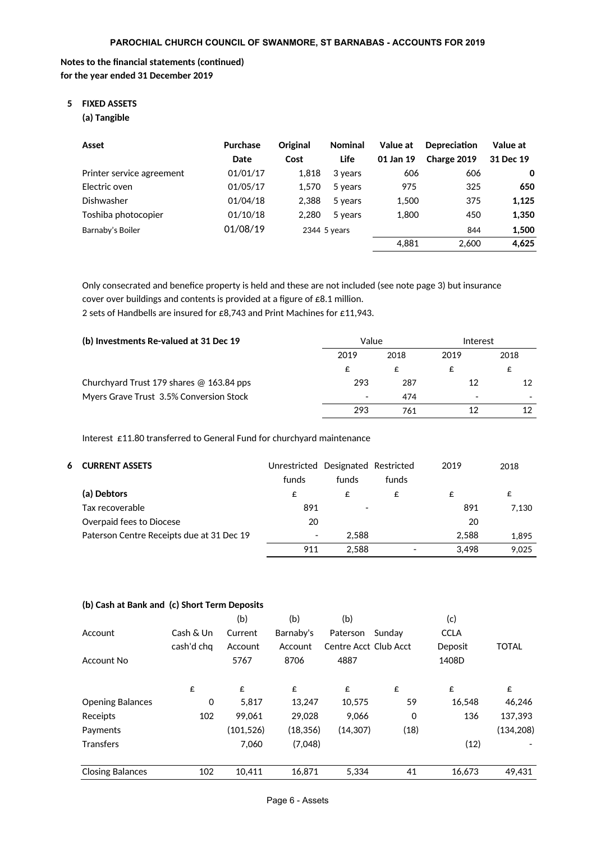## **Notes to the financial statements (continued) for the year ended 31 December 2019**

# **5 FIXED ASSETS**

**(a) Tangible**

| Asset                     | Purchase<br>Date | Original<br>Cost | <b>Nominal</b><br>Life | Value at<br>01 Jan 19 | <b>Depreciation</b><br>Charge 2019 | Value at<br>31 Dec 19 |
|---------------------------|------------------|------------------|------------------------|-----------------------|------------------------------------|-----------------------|
| Printer service agreement | 01/01/17         | 1.818            | 3 years                | 606                   | 606                                | 0                     |
| Electric oven             | 01/05/17         | 1.570            | 5 years                | 975                   | 325                                | 650                   |
| <b>Dishwasher</b>         | 01/04/18         | 2.388            | 5 years                | 1,500                 | 375                                | 1,125                 |
| Toshiba photocopier       | 01/10/18         | 2.280            | 5 years                | 1.800                 | 450                                | 1,350                 |
| Barnaby's Boiler          | 01/08/19         |                  | 2344 5 years           |                       | 844                                | 1,500                 |
|                           |                  |                  |                        | 4.881                 | 2.600                              | 4,625                 |

Only consecrated and benefice property is held and these are not included (see note page 3) but insurance cover over buildings and contents is provided at a figure of  $\epsilon$ 8.1 million.

2 sets of Handbells are insured for £8,743 and Print Machines for £11,943.

| (b) Investments Re-valued at 31 Dec 19     | Value                    |      | Interest                 |      |  |
|--------------------------------------------|--------------------------|------|--------------------------|------|--|
|                                            | 2019                     | 2018 | 2019                     | 2018 |  |
|                                            |                          |      |                          | £    |  |
| Churchyard Trust 179 shares $@$ 163.84 pps | 293                      | 287  | 12                       | 12   |  |
| Myers Grave Trust 3.5% Conversion Stock    | $\overline{\phantom{0}}$ | 474  | $\overline{\phantom{0}}$ |      |  |
|                                            | 293                      | 761  | 12                       |      |  |

Interest £11.80 transferred to General Fund for churchyard maintenance

| <b>6 CURRENT ASSETS</b>                   | Unrestricted             | Designated Restricted |       | 2019  | 2018  |
|-------------------------------------------|--------------------------|-----------------------|-------|-------|-------|
|                                           | funds                    | funds                 | funds |       |       |
| (a) Debtors                               | £                        | £                     | £     | £     | £     |
| Tax recoverable                           | 891                      |                       |       | 891   | 7.130 |
| Overpaid fees to Diocese                  | 20                       |                       |       | 20    |       |
| Paterson Centre Receipts due at 31 Dec 19 | $\overline{\phantom{a}}$ | 2.588                 |       | 2.588 | 1.895 |
|                                           | 911                      | 2.588                 |       | 3.498 | 9.025 |

#### **(b) Cash at Bank and (c) Short Term Deposits**

|                         |            | (b)       | (b)       | (b)                   |        | (c)         |              |
|-------------------------|------------|-----------|-----------|-----------------------|--------|-------------|--------------|
| Account                 | Cash & Un  | Current   | Barnaby's | Paterson              | Sundav | <b>CCLA</b> |              |
|                         | cash'd chq | Account   | Account   | Centre Acct Club Acct |        | Deposit     | <b>TOTAL</b> |
| Account No              |            | 5767      | 8706      | 4887                  |        | 1408D       |              |
|                         | £          | £         | £         | £                     | £      | £           | £            |
| <b>Opening Balances</b> | 0          | 5,817     | 13,247    | 10,575                | 59     | 16,548      | 46,246       |
| Receipts                | 102        | 99.061    | 29.028    | 9.066                 | 0      | 136         | 137.393      |
| Payments                |            | (101,526) | (18, 356) | (14, 307)             | (18)   |             | (134, 208)   |
| <b>Transfers</b>        |            | 7,060     | (7,048)   |                       |        | (12)        |              |
| <b>Closing Balances</b> | 102        | 10.411    | 16.871    | 5.334                 | 41     | 16.673      | 49,431       |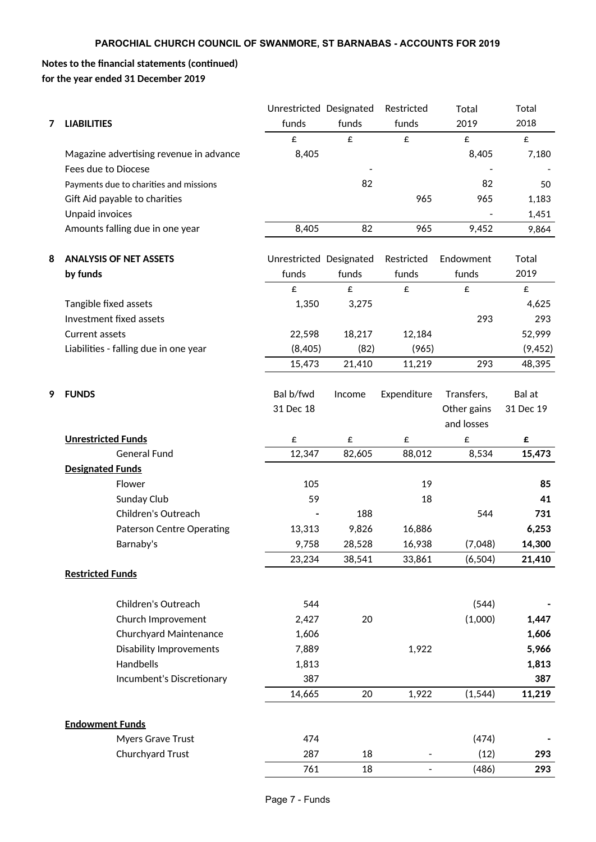# **Notes to the financial statements (continued) for the year ended 31 December 2019**

|   |                                         | Unrestricted Designated |        | Restricted     | Total              | Total              |
|---|-----------------------------------------|-------------------------|--------|----------------|--------------------|--------------------|
| 7 | <b>LIABILITIES</b>                      | funds                   | funds  | funds          | 2019               | 2018               |
|   |                                         | £                       | £      | £              | $\pmb{\mathop{E}}$ | $\pmb{\mathsf{E}}$ |
|   | Magazine advertising revenue in advance | 8,405                   |        |                | 8,405              | 7,180              |
|   | Fees due to Diocese                     |                         |        |                |                    |                    |
|   | Payments due to charities and missions  |                         | 82     |                | 82                 | 50                 |
|   | Gift Aid payable to charities           |                         |        | 965            | 965                | 1,183              |
|   | Unpaid invoices                         |                         |        |                |                    | 1,451              |
|   | Amounts falling due in one year         | 8,405                   | 82     | 965            | 9,452              | 9,864              |
| 8 | <b>ANALYSIS OF NET ASSETS</b>           | Unrestricted Designated |        | Restricted     | Endowment          | Total              |
|   | by funds                                | funds                   | funds  | funds          | funds              | 2019               |
|   |                                         | £                       | £      | £              | £                  | £                  |
|   | Tangible fixed assets                   | 1,350                   | 3,275  |                |                    | 4,625              |
|   | Investment fixed assets                 |                         |        |                | 293                | 293                |
|   | Current assets                          | 22,598                  | 18,217 | 12,184         |                    | 52,999             |
|   | Liabilities - falling due in one year   | (8,405)                 | (82)   | (965)          |                    | (9, 452)           |
|   |                                         | 15,473                  | 21,410 | 11,219         | 293                | 48,395             |
|   |                                         |                         |        |                |                    |                    |
| 9 | <b>FUNDS</b>                            | Bal b/fwd               | Income | Expenditure    | Transfers,         | Bal at             |
|   |                                         | 31 Dec 18               |        |                | Other gains        | 31 Dec 19          |
|   |                                         |                         |        |                | and losses         |                    |
|   | <b>Unrestricted Funds</b>               | £                       | £      | £              | £                  | £                  |
|   | <b>General Fund</b>                     | 12,347                  | 82,605 | 88,012         | 8,534              | 15,473             |
|   | <b>Designated Funds</b>                 |                         |        |                |                    |                    |
|   | Flower                                  | 105                     |        | 19             |                    | 85                 |
|   | Sunday Club                             | 59                      |        | 18             |                    | 41                 |
|   | Children's Outreach                     |                         | 188    |                | 544                | 731                |
|   | <b>Paterson Centre Operating</b>        | 13,313                  | 9,826  | 16,886         |                    | 6,253              |
|   | Barnaby's                               | 9,758                   | 28,528 | 16,938         | (7,048)            | 14,300             |
|   |                                         | 23,234                  | 38,541 | 33,861         | (6, 504)           | 21,410             |
|   | <b>Restricted Funds</b>                 |                         |        |                |                    |                    |
|   | Children's Outreach                     | 544                     |        |                | (544)              |                    |
|   | Church Improvement                      | 2,427                   | 20     |                | (1,000)            | 1,447              |
|   | Churchyard Maintenance                  | 1,606                   |        |                |                    | 1,606              |
|   | <b>Disability Improvements</b>          | 7,889                   |        | 1,922          |                    | 5,966              |
|   | Handbells                               | 1,813                   |        |                |                    | 1,813              |
|   | Incumbent's Discretionary               | 387                     |        |                |                    | 387                |
|   |                                         | 14,665                  | 20     | 1,922          | (1, 544)           | 11,219             |
|   |                                         |                         |        |                |                    |                    |
|   | <b>Endowment Funds</b>                  |                         |        |                |                    |                    |
|   | Myers Grave Trust                       | 474                     |        |                | (474)              |                    |
|   | Churchyard Trust                        | 287                     | 18     |                | (12)               | 293                |
|   |                                         | 761                     | 18     | $\blacksquare$ | (486)              | 293                |